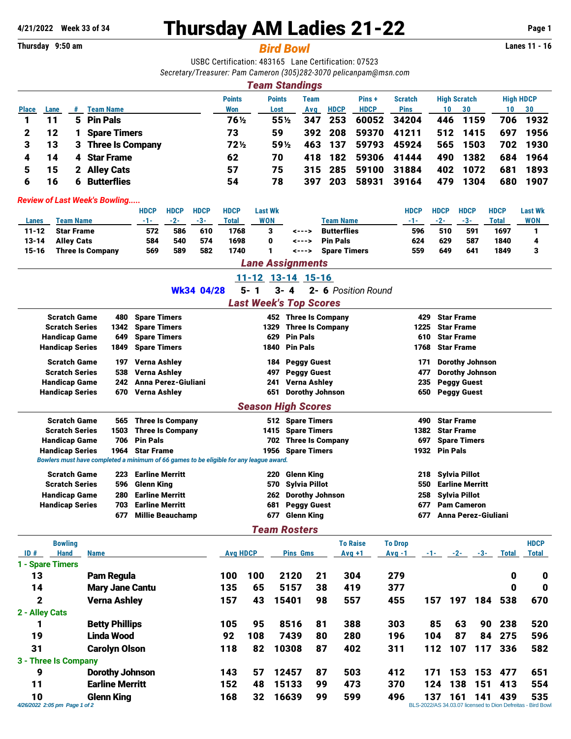# **4/21/2022** Week 33 of 34 **Thursday AM Ladies 21-22** Page 1<br>
Thursday 9:50 am **Page 1**

**Thursday 9:50 am** *Bird Bowl* **Lanes 11 - 16**

USBC Certification: 483165 Lane Certification: 07523 *Secretary/Treasurer: Pam Cameron (305)282-3070 [pelicanpam@msn.com](mailto:pelicanpam@msn.com)*

|              | <b>Team Standings</b>                                                                                        |              |                     |        |        |     |             |             |             |     |      |     |          |
|--------------|--------------------------------------------------------------------------------------------------------------|--------------|---------------------|--------|--------|-----|-------------|-------------|-------------|-----|------|-----|----------|
|              | <b>High HDCP</b><br><b>Points</b><br><b>High Scratch</b><br><b>Points</b><br>Pins+<br><b>Scratch</b><br>Team |              |                     |        |        |     |             |             |             |     |      |     |          |
| <b>Place</b> | Lane                                                                                                         | #            | <b>Team Name</b>    | Won    | Lost   | Avg | <b>HDCP</b> | <b>HDCP</b> | <b>Pins</b> | 10  | 30   | 10  | 30       |
|              | 11                                                                                                           |              | 5 Pin Pals          | 76½    | $55\%$ | 347 | 253         | 60052       | 34204       | 446 | 1159 | 706 | 1932     |
|              | 12                                                                                                           |              | <b>Spare Timers</b> | 73     | 59     | 392 | 208         | 59370       | 41211       | 512 | 1415 | 697 | 1956     |
| 3.           | 13                                                                                                           |              | 3 Three Is Company  | $72\%$ | 59½    | 463 | 137         | 59793       | 45924       | 565 | 1503 |     | 702 1930 |
| 4            | 14                                                                                                           |              | 4 Star Frame        | 62     | 70     | 418 | 182         | 59306       | 41444       | 490 | 1382 |     | 684 1964 |
|              | 15                                                                                                           | $\mathbf{2}$ | <b>Alley Cats</b>   | 57     | 75     |     | 315 285     | 59100       | 31884       | 402 | 1072 | 681 | 1893     |
| 6            | 6                                                                                                            | 6            | <b>Butterflies</b>  | 54     | 78     | 397 | 203         | 58931       | 39164       | 479 | 1304 | 680 | 1907     |

#### *Review of Last Week's Bowling.....*

|           |                         | HDCP | <b>HDCP</b> | <b>HDCP</b> | <b>HDCP</b> | Last Wk    |       |                    | <b>HDCP</b> | <b>HDCP</b> | <b>HDCP</b> | <b>HDCP</b> | <b>Last Wk</b> |  |
|-----------|-------------------------|------|-------------|-------------|-------------|------------|-------|--------------------|-------------|-------------|-------------|-------------|----------------|--|
| Lanes     | Team Name               | -1-  | $-2-$       | $-3-$       | Total       | <b>WON</b> |       | <b>Team Name</b>   | -1-         | $-2-$       | $-3-$       | Total       | <b>WON</b>     |  |
| $11 - 12$ | <b>Star Frame</b>       | 572  | 586         | 610         | 1768        |            | <---> | <b>Butterflies</b> | 596         | 510         | 591         | 1697        |                |  |
| $13 - 14$ | <b>Alley Cats</b>       | 584  | 540         | 574         | 1698        | 0          | <---> | <b>Pin Pals</b>    | 624         | 629         | 587         | 1840        |                |  |
| 15-16     | <b>Three Is Company</b> | 569  | 589         | 582         | 1740        |            | <---> | Spare Timers       | 559         | 649         | 641         | 1849        |                |  |
|           | <b>Lane Assignments</b> |      |             |             |             |            |       |                    |             |             |             |             |                |  |

#### 11-12 13-14 15-16

Wk34 04/28 5- 1 3- 4 2- 6 *Position Round*

### *Last Week's Top Scores*

| <b>Scratch Game</b>       | 480  | <b>Spare Timers</b>                                                                    | 452  | <b>Three Is Company</b> | 429  | <b>Star Frame</b>      |  |  |  |  |  |
|---------------------------|------|----------------------------------------------------------------------------------------|------|-------------------------|------|------------------------|--|--|--|--|--|
| <b>Scratch Series</b>     | 1342 | <b>Spare Timers</b>                                                                    | 1329 | <b>Three Is Company</b> | 1225 | <b>Star Frame</b>      |  |  |  |  |  |
|                           | 649  |                                                                                        | 629  | <b>Pin Pals</b>         | 610  | <b>Star Frame</b>      |  |  |  |  |  |
| <b>Handicap Game</b>      |      | <b>Spare Timers</b>                                                                    |      |                         |      |                        |  |  |  |  |  |
| <b>Handicap Series</b>    | 1849 | <b>Spare Timers</b>                                                                    |      | 1840 Pin Pals           | 1768 | <b>Star Frame</b>      |  |  |  |  |  |
| <b>Scratch Game</b>       | 197  | Verna Ashley                                                                           | 184  | <b>Peggy Guest</b>      | 171  | <b>Dorothy Johnson</b> |  |  |  |  |  |
| <b>Scratch Series</b>     | 538  | <b>Verna Ashley</b>                                                                    | 497  | <b>Peggy Guest</b>      | 477  | <b>Dorothy Johnson</b> |  |  |  |  |  |
| <b>Handicap Game</b>      | 242  | Anna Perez-Giuliani                                                                    | 241  | Verna Ashley            | 235  | <b>Peggy Guest</b>     |  |  |  |  |  |
| <b>Handicap Series</b>    | 670  | Verna Ashley                                                                           | 651  | <b>Dorothy Johnson</b>  | 650  | <b>Peggy Guest</b>     |  |  |  |  |  |
| <b>Season High Scores</b> |      |                                                                                        |      |                         |      |                        |  |  |  |  |  |
| <b>Scratch Game</b>       | 565  | <b>Three Is Company</b>                                                                |      | 512 Spare Timers        | 490  | <b>Star Frame</b>      |  |  |  |  |  |
| <b>Scratch Series</b>     | 1503 | <b>Three Is Company</b>                                                                | 1415 | <b>Spare Timers</b>     | 1382 | <b>Star Frame</b>      |  |  |  |  |  |
| <b>Handicap Game</b>      | 706  | <b>Pin Pals</b>                                                                        | 702  | <b>Three Is Company</b> | 697  | <b>Spare Timers</b>    |  |  |  |  |  |
| <b>Handicap Series</b>    |      | 1964 Star Frame                                                                        | 1956 | <b>Spare Timers</b>     | 1932 | <b>Pin Pals</b>        |  |  |  |  |  |
|                           |      | Bowlers must have completed a minimum of 66 games to be eligible for any league award. |      |                         |      |                        |  |  |  |  |  |
| <b>Scratch Game</b>       | 223  | <b>Earline Merritt</b>                                                                 | 220  | Glenn King              | 218  | <b>Sylvia Pillot</b>   |  |  |  |  |  |
| <b>Scratch Series</b>     | 596  | Glenn King                                                                             | 570  | <b>Sylvia Pillot</b>    | 550  | <b>Earline Merritt</b> |  |  |  |  |  |
| <b>Handicap Game</b>      | 280  | <b>Earline Merritt</b>                                                                 | 262  | <b>Dorothy Johnson</b>  | 258  | <b>Sylvia Pillot</b>   |  |  |  |  |  |
| <b>Handicap Series</b>    | 703  | <b>Earline Merritt</b>                                                                 | 681  | <b>Peggy Guest</b>      | 677  | <b>Pam Cameron</b>     |  |  |  |  |  |
|                           | 677  | <b>Millie Beauchamp</b>                                                                | 677  | <b>Glenn King</b>       | 677  | Anna Perez-Giuliani    |  |  |  |  |  |

#### *Team Rosters*

|                | <b>Bowling</b>                |                        |                 |     |                 |    | <b>To Raise</b> | <b>To Drop</b> |                                                             |       |     |              | <b>HDCP</b>  |
|----------------|-------------------------------|------------------------|-----------------|-----|-----------------|----|-----------------|----------------|-------------------------------------------------------------|-------|-----|--------------|--------------|
| ID#            | Hand                          | <b>Name</b>            | <b>Avg HDCP</b> |     | <b>Pins Gms</b> |    | $Avg +1$        | $Avg -1$       | $-1-$                                                       | $-2-$ | -3- | <b>Total</b> | <b>Total</b> |
|                | 1 - Spare Timers              |                        |                 |     |                 |    |                 |                |                                                             |       |     |              |              |
| 13             |                               | Pam Regula             | 100             | 100 | 2120            | 21 | 304             | 279            |                                                             |       |     | 0            | 0            |
| 14             |                               | <b>Mary Jane Cantu</b> | 135             | 65  | 5157            | 38 | 419             | 377            |                                                             |       |     | 0            | 0            |
| $\mathbf{2}$   |                               | <b>Verna Ashley</b>    | 157             | 43  | 15401           | 98 | 557             | 455            | 157                                                         | 197   | 184 | 538          | 670          |
| 2 - Alley Cats |                               |                        |                 |     |                 |    |                 |                |                                                             |       |     |              |              |
|                |                               | <b>Betty Phillips</b>  | 105             | 95  | 8516            | 81 | 388             | 303            | 85                                                          | 63    | 90  | 238          | 520          |
| 19             |                               | Linda Wood             | 92              | 108 | 7439            | 80 | 280             | 196            | 104                                                         | 87    | 84  | 275          | 596          |
| 31             |                               | <b>Carolyn Olson</b>   | 118             | 82  | 10308           | 87 | 402             | 311            | 112                                                         | 107   | 117 | 336          | 582          |
|                | 3 - Three Is Company          |                        |                 |     |                 |    |                 |                |                                                             |       |     |              |              |
| 9              |                               | <b>Dorothy Johnson</b> | 143             | 57  | 12457           | 87 | 503             | 412            | 171                                                         | 153   | 153 | 477          | 651          |
| 11             |                               | <b>Earline Merritt</b> | 152             | 48  | 15133           | 99 | 473             | 370            | 124                                                         | 138   | 151 | 413          | 554          |
| 10             |                               | Glenn Kina             | 168             | 32  | 16639           | 99 | 599             | 496            | 137                                                         | 161   | 141 | 439          | 535          |
|                | 4/26/2022 2:05 pm Page 1 of 2 |                        |                 |     |                 |    |                 |                | BLS-2022/AS 34.03.07 licensed to Dion Defreitas - Bird Bowl |       |     |              |              |